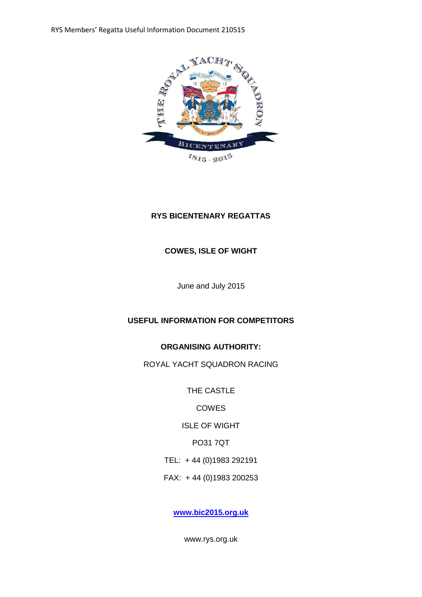RYS Members' Regatta Useful Information Document 210515



# **RYS BICENTENARY REGATTAS**

# **COWES, ISLE OF WIGHT**

June and July 2015

# **USEFUL INFORMATION FOR COMPETITORS**

## **ORGANISING AUTHORITY:**

ROYAL YACHT SQUADRON RACING

THE CASTLE

**COWES** 

ISLE OF WIGHT

PO31 7QT

TEL: + 44 (0)1983 292191

FAX: + 44 (0)1983 200253

**[www.bic2015.org.uk](http://www.bic2015.org.uk/)**

www.rys.org.uk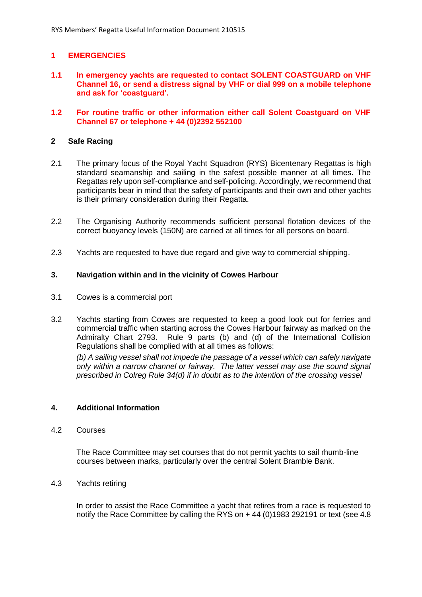## **1 EMERGENCIES**

- **1.1 In emergency yachts are requested to contact SOLENT COASTGUARD on VHF Channel 16, or send a distress signal by VHF or dial 999 on a mobile telephone and ask for 'coastguard'.**
- **1.2 For routine traffic or other information either call Solent Coastguard on VHF Channel 67 or telephone + 44 (0)2392 552100**

### **2 Safe Racing**

- 2.1 The primary focus of the Royal Yacht Squadron (RYS) Bicentenary Regattas is high standard seamanship and sailing in the safest possible manner at all times. The Regattas rely upon self-compliance and self-policing. Accordingly, we recommend that participants bear in mind that the safety of participants and their own and other yachts is their primary consideration during their Regatta.
- 2.2 The Organising Authority recommends sufficient personal flotation devices of the correct buoyancy levels (150N) are carried at all times for all persons on board.
- 2.3 Yachts are requested to have due regard and give way to commercial shipping.

### **3. Navigation within and in the vicinity of Cowes Harbour**

- 3.1 Cowes is a commercial port
- 3.2 Yachts starting from Cowes are requested to keep a good look out for ferries and commercial traffic when starting across the Cowes Harbour fairway as marked on the Admiralty Chart 2793. Rule 9 parts (b) and (d) of the International Collision Regulations shall be complied with at all times as follows: *(b) A sailing vessel shall not impede the passage of a vessel which can safely navigate only within a narrow channel or fairway. The latter vessel may use the sound signal*

*prescribed in Colreg Rule 34(d) if in doubt as to the intention of the crossing vessel*

### **4. Additional Information**

### 4.2 Courses

The Race Committee may set courses that do not permit yachts to sail rhumb-line courses between marks, particularly over the central Solent Bramble Bank.

### 4.3 Yachts retiring

In order to assist the Race Committee a yacht that retires from a race is requested to notify the Race Committee by calling the RYS on + 44 (0)1983 292191 or text (see 4.8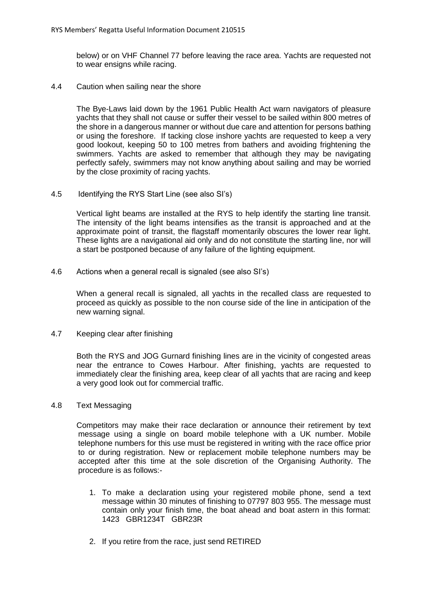below) or on VHF Channel 77 before leaving the race area. Yachts are requested not to wear ensigns while racing.

4.4 Caution when sailing near the shore

The Bye-Laws laid down by the 1961 Public Health Act warn navigators of pleasure yachts that they shall not cause or suffer their vessel to be sailed within 800 metres of the shore in a dangerous manner or without due care and attention for persons bathing or using the foreshore. If tacking close inshore yachts are requested to keep a very good lookout, keeping 50 to 100 metres from bathers and avoiding frightening the swimmers. Yachts are asked to remember that although they may be navigating perfectly safely, swimmers may not know anything about sailing and may be worried by the close proximity of racing yachts.

4.5 Identifying the RYS Start Line (see also SI's)

Vertical light beams are installed at the RYS to help identify the starting line transit. The intensity of the light beams intensifies as the transit is approached and at the approximate point of transit, the flagstaff momentarily obscures the lower rear light. These lights are a navigational aid only and do not constitute the starting line, nor will a start be postponed because of any failure of the lighting equipment.

4.6 Actions when a general recall is signaled (see also SI's)

When a general recall is signaled, all yachts in the recalled class are requested to proceed as quickly as possible to the non course side of the line in anticipation of the new warning signal.

4.7 Keeping clear after finishing

Both the RYS and JOG Gurnard finishing lines are in the vicinity of congested areas near the entrance to Cowes Harbour. After finishing, yachts are requested to immediately clear the finishing area, keep clear of all yachts that are racing and keep a very good look out for commercial traffic.

4.8 Text Messaging

Competitors may make their race declaration or announce their retirement by text message using a single on board mobile telephone with a UK number. Mobile telephone numbers for this use must be registered in writing with the race office prior to or during registration. New or replacement mobile telephone numbers may be accepted after this time at the sole discretion of the Organising Authority. The procedure is as follows:-

- 1. To make a declaration using your registered mobile phone, send a text message within 30 minutes of finishing to 07797 803 955. The message must contain only your finish time, the boat ahead and boat astern in this format: 1423 GBR1234T GBR23R
- 2. If you retire from the race, just send RETIRED